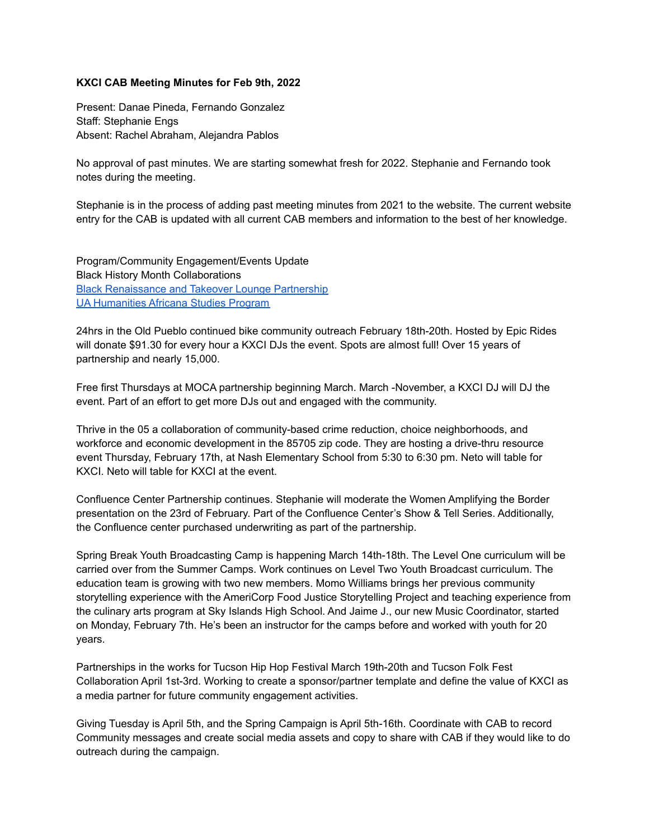## **KXCI CAB Meeting Minutes for Feb 9th, 2022**

Present: Danae Pineda, Fernando Gonzalez Staff: Stephanie Engs Absent: Rachel Abraham, Alejandra Pablos

No approval of past minutes. We are starting somewhat fresh for 2022. Stephanie and Fernando took notes during the meeting.

Stephanie is in the process of adding past meeting minutes from 2021 to the website. The current website entry for the CAB is updated with all current CAB members and information to the best of her knowledge.

Program/Community Engagement/Events Update Black History Month Collaborations Black [Renaissance](https://kxci.org/2022/02/black-history-in-the-making-from-takeover-lounge-black-renaissance-and-kxci/) and Takeover Lounge Partnership UA [Humanities](https://kxci.org/2022/02/ua-college-of-humanities-and-africana-studies-program-professors-guest-dj-on-kxci/) Africana Studies Program

24hrs in the Old Pueblo continued bike community outreach February 18th-20th. Hosted by Epic Rides will donate \$91.30 for every hour a KXCI DJs the event. Spots are almost full! Over 15 years of partnership and nearly 15,000.

Free first Thursdays at MOCA partnership beginning March. March -November, a KXCI DJ will DJ the event. Part of an effort to get more DJs out and engaged with the community.

Thrive in the 05 a collaboration of community-based crime reduction, choice neighborhoods, and workforce and economic development in the 85705 zip code. They are hosting a drive-thru resource event Thursday, February 17th, at Nash Elementary School from 5:30 to 6:30 pm. Neto will table for KXCI. Neto will table for KXCI at the event.

Confluence Center Partnership continues. Stephanie will moderate the Women Amplifying the Border presentation on the 23rd of February. Part of the Confluence Center's Show & Tell Series. Additionally, the Confluence center purchased underwriting as part of the partnership.

Spring Break Youth Broadcasting Camp is happening March 14th-18th. The Level One curriculum will be carried over from the Summer Camps. Work continues on Level Two Youth Broadcast curriculum. The education team is growing with two new members. Momo Williams brings her previous community storytelling experience with the AmeriCorp Food Justice Storytelling Project and teaching experience from the culinary arts program at Sky Islands High School. And Jaime J., our new Music Coordinator, started on Monday, February 7th. He's been an instructor for the camps before and worked with youth for 20 years.

Partnerships in the works for Tucson Hip Hop Festival March 19th-20th and Tucson Folk Fest Collaboration April 1st-3rd. Working to create a sponsor/partner template and define the value of KXCI as a media partner for future community engagement activities.

Giving Tuesday is April 5th, and the Spring Campaign is April 5th-16th. Coordinate with CAB to record Community messages and create social media assets and copy to share with CAB if they would like to do outreach during the campaign.